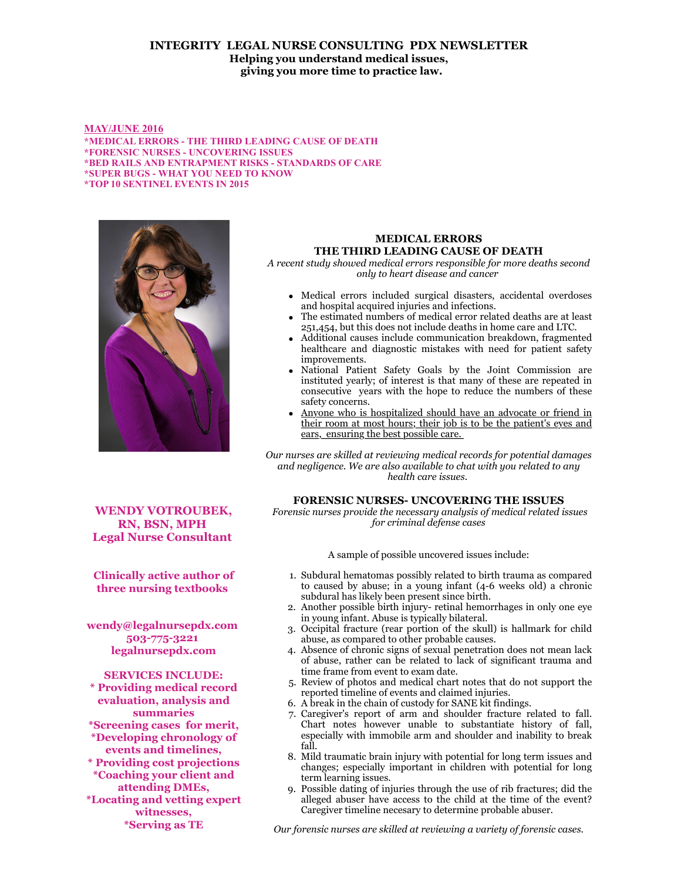## **INTEGRITY LEGAL NURSE CONSULTING PDX NEWSLETTER Helping you understand medical issues, giving you more time to practice law.**

#### **MAY/JUNE 2016**

**\*MEDICAL ERRORS - THE THIRD LEADING CAUSE OF DEATH \*FORENSIC NURSES - UNCOVERING ISSUES \*BED RAILS AND ENTRAPMENT RISKS - STANDARDS OF CARE \*SUPER BUGS - WHAT YOU NEED TO KNOW \*TOP 10 SENTINEL EVENTS IN 2015**



**WENDY VOTROUBEK, RN, BSN, MPH Legal Nurse Consultant** 

**Clinically active author of three nursing textbooks** 

**wendy@legalnursepdx.com 503-775-3221 legalnursepdx.com**

**SERVICES INCLUDE: \* Providing medical record evaluation, analysis and summaries \*Screening cases for merit, \*Developing chronology of events and timelines, \* Providing cost projections \*Coaching your client and attending DMEs, \*Locating and vetting expert witnesses, \*Serving as TE**

# **MEDICAL ERRORS THE THIRD LEADING CAUSE OF DEATH**

*A recent study showed medical errors responsible for more deaths second only to heart disease and cancer* 

- Medical errors included surgical disasters, accidental overdoses and hospital acquired injuries and infections.
- The estimated numbers of medical error related deaths are at least 251,454, but this does not include deaths in home care and LTC.
- Additional causes include communication breakdown, fragmented healthcare and diagnostic mistakes with need for patient safety improvements.
- National Patient Safety Goals by the Joint Commission are instituted yearly; of interest is that many of these are repeated in consecutive years with the hope to reduce the numbers of these safety concerns.
- Anyone who is hospitalized should have an advocate or friend in their room at most hours; their job is to be the patient's eyes and ears, ensuring the best possible care.

*Our nurses are skilled at reviewing medical records for potential damages and negligence. We are also available to chat with you related to any health care issues.* 

## **FORENSIC NURSES- UNCOVERING THE ISSUES**

 *Forensic nurses provide the necessary analysis of medical related issues for criminal defense cases*

A sample of possible uncovered issues include:

- 1. Subdural hematomas possibly related to birth trauma as compared to caused by abuse; in a young infant (4-6 weeks old) a chronic subdural has likely been present since birth.
- 2. Another possible birth injury- retinal hemorrhages in only one eye in young infant. Abuse is typically bilateral.
- 3. Occipital fracture (rear portion of the skull) is hallmark for child abuse, as compared to other probable causes.
- 4. Absence of chronic signs of sexual penetration does not mean lack of abuse, rather can be related to lack of significant trauma and time frame from event to exam date.
- 5. Review of photos and medical chart notes that do not support the reported timeline of events and claimed injuries.
- 6. A break in the chain of custody for SANE kit findings.
- 7. Caregiver's report of arm and shoulder fracture related to fall. Chart notes however unable to substantiate history of fall, especially with immobile arm and shoulder and inability to break fall.
- 8. Mild traumatic brain injury with potential for long term issues and changes; especially important in children with potential for long term learning issues.
- 9. Possible dating of injuries through the use of rib fractures; did the alleged abuser have access to the child at the time of the event? Caregiver timeline necesary to determine probable abuser.

*Our forensic nurses are skilled at reviewing a variety of forensic cases.*